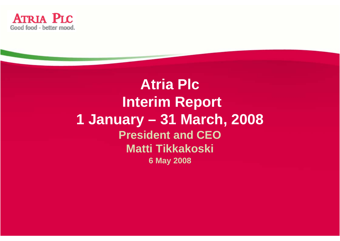

**Atria Plc Interim Report 1 January – 31 March, 2008 President and CEO Matti Tikkakoski 6 May 2008**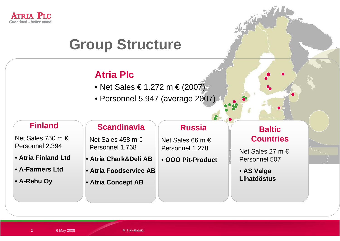

## **Group Structure**

### **Atria Plc**

- Net Sales € 1.272 m € (2007)
- Personnel 5.947 (average 2007)

#### **Finland**

Net Sales 750 m € Personnel 2.394

• **Atria Finland Ltd**

- **A-Farmers Ltd**
- **A-Rehu Oy**

#### **Scandinavia**

Net Sales 458 m € Personnel 1.768

- **Atria Chark&Deli AB**
- **Atria Foodservice AB**
- **Atria Concept AB**

#### **Russia**

Net Sales 66 m € Personnel 1.278

• **OOO Pit-Product**

• **AS Valga** 



Net Sales 27 m € Personnel 507

**Lihatööstus**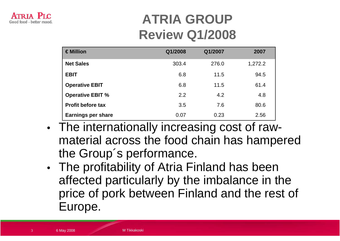## **ATRIA GROUP Review Q1/2008**

| €Million                  | Q1/2008 | Q1/2007 | 2007    |
|---------------------------|---------|---------|---------|
| <b>Net Sales</b>          | 303.4   | 276.0   | 1,272.2 |
| <b>EBIT</b>               | 6.8     | 11.5    | 94.5    |
| <b>Operative EBIT</b>     | 6.8     | 11.5    | 61.4    |
| <b>Operative EBIT %</b>   | 2.2     | 4.2     | 4.8     |
| <b>Profit before tax</b>  | 3.5     | 7.6     | 80.6    |
| <b>Earnings per share</b> | 0.07    | 0.23    | 2.56    |

- The internationally increasing cost of rawmaterial across the food chain has hampered the Group´s performance.
- The profitability of Atria Finland has been affected particularly by the imbalance in the price of pork between Finland and the rest of Europe.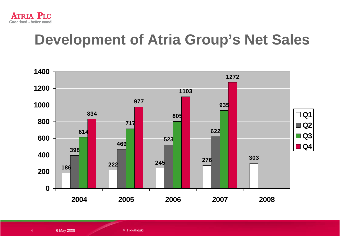

# **Development of Atria Group's Net Sales**



6 May 2008 Management Management Management Management Management Management Management Management Management M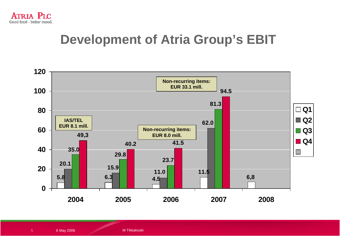

### **Development of Atria Group's EBIT**



6 May 2008 Management Management Management Management Management Management Management Management Management M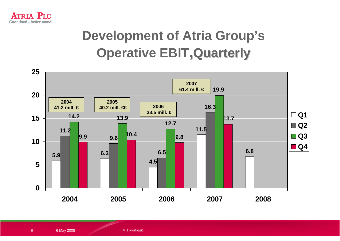

## **Development of Atria Group's Operative EBIT, Quarterly**

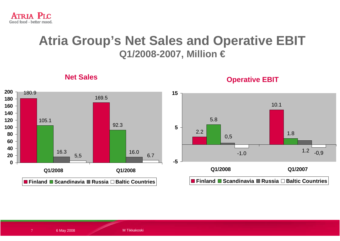

### **Atria Group's Net Sales and Operative EBIT Q1/2008-2007, Million €**



**Net Sales**

**Operative EBIT**

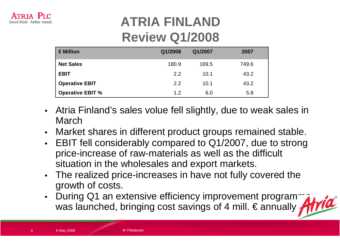

### **ATRIA FINLAND Review Q1/2008**

| $\in$ Million           | Q1/2008 | Q1/2007 | 2007  |
|-------------------------|---------|---------|-------|
| <b>Net Sales</b>        | 180.9   | 169.5   | 749.6 |
| <b>EBIT</b>             | 2.2     | 10.1    | 43.2  |
| <b>Operative EBIT</b>   | 2.2     | 10.1    | 43.2  |
| <b>Operative EBIT %</b> | 1.2     | 6.0     | 5.8   |

- Atria Finland's sales volue fell slightly, due to weak sales in March
- Market shares in different product groups remained stable.
- EBIT fell considerably compared to Q1/2007, due to strong price-increase of raw-materials as well as the difficult situation in the wholesales and export markets.
- The realized price-increases in have not fully covered the growth of costs.
- During Q1 an extensive efficiency improvement programmer was launched, bringing cost savings of 4 mill.  $\epsilon$  annually,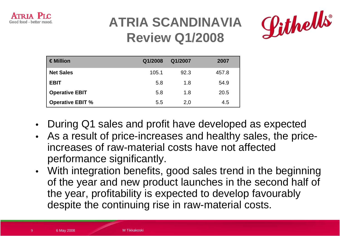

### **ATRIA SCANDINAVIA Review Q1/2008**



| €Million                | Q1/2008 | Q1/2007 | 2007  |
|-------------------------|---------|---------|-------|
| <b>Net Sales</b>        | 105.1   | 92.3    | 457.8 |
| <b>EBIT</b>             | 5.8     | 1.8     | 54.9  |
| <b>Operative EBIT</b>   | 5.8     | 1.8     | 20.5  |
| <b>Operative EBIT %</b> | 5.5     | 2,0     | 4.5   |

- During Q1 sales and profit have developed as expected
- As a result of price-increases and healthy sales, the priceincreases of raw-material costs have not affected performance significantly.
- With integration benefits, good sales trend in the beginning of the year and new product launches in the second half of the year, profitability is expected to develop favourably despite the continuing rise in raw-material costs.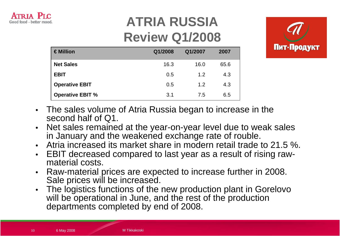

## **ATRIA RUSSIA Review Q1/2008**



| $\in$ Million           | Q1/2008 | Q1/2007 | 2007 |
|-------------------------|---------|---------|------|
| <b>Net Sales</b>        | 16.3    | 16.0    | 65.6 |
| <b>EBIT</b>             | 0.5     | 1.2     | 4.3  |
| <b>Operative EBIT</b>   | 0.5     | 1.2     | 4.3  |
| <b>Operative EBIT %</b> | 3.1     | 7.5     | 6.5  |

- The sales volume of Atria Russia began to increase in the second half of Q1.
- Net sales remained at the year-on-year level due to weak sales in January and the weakened exchange rate of rouble.
- Atria increased its market share in modern retail trade to 21.5 %.
- EBIT decreased compared to last year as a result of rising rawmaterial costs.
- Raw-material prices are expected to increase further in 2008. Sale prices will be increased.
- The logistics functions of the new production plant in Gorelovo will be operational in June, and the rest of the production departments completed by end of 2008.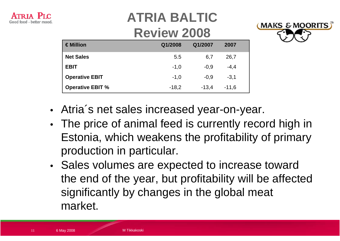

# **ATRIA BALTIC**

### **Review 2008**



| €Million                | Q1/2008 | Q1/2007 | 2007    |  |
|-------------------------|---------|---------|---------|--|
| <b>Net Sales</b>        | 5.5     | 6,7     | 26,7    |  |
| <b>EBIT</b>             | $-1,0$  | $-0.9$  | $-4,4$  |  |
| <b>Operative EBIT</b>   | $-1,0$  | $-0.9$  | $-3.1$  |  |
| <b>Operative EBIT %</b> | $-18,2$ | $-13,4$ | $-11,6$ |  |

- Atria´s net sales increased year-on-year.
- The price of animal feed is currently record high in Estonia, which weakens the profitability of primary production in particular.
- Sales volumes are expected to increase toward the end of the year, but profitability will be affected significantly by changes in the global meat market.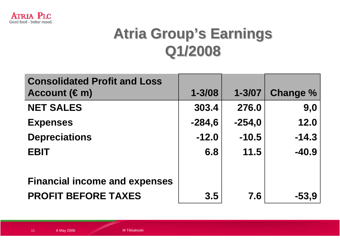

# **Atria Group's Earnings Q1/2008 Q1/2008**

| <b>Consolidated Profit and Loss</b><br>Account $(\epsilon m)$ | $1 - 3/08$ | $1 - 3/07$ | <b>Change %</b> |
|---------------------------------------------------------------|------------|------------|-----------------|
| <b>NET SALES</b>                                              | 303.4      | 276.0      | 9,0             |
| <b>Expenses</b>                                               | $-284,6$   | $-254,0$   | 12.0            |
| <b>Depreciations</b>                                          | $-12.0$    | $-10.5$    | $-14.3$         |
| <b>EBIT</b>                                                   | 6.8        | 11.5       | $-40.9$         |
| <b>Financial income and expenses</b>                          |            |            |                 |
| <b>PROFIT BEFORE TAXES</b>                                    | 3.5        | 7.6        | $-53,9$         |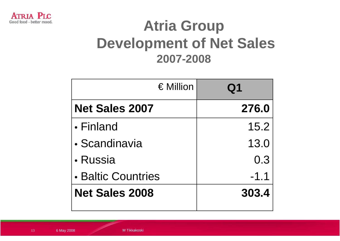

# **Atria Group Development of Net Sales 2007-2008**

| $\in$ Million         | ${\bf Q}$ 1 |  |
|-----------------------|-------------|--|
| <b>Net Sales 2007</b> | 276.0       |  |
| • Finland             | 15.2        |  |
| • Scandinavia         | 13.0        |  |
| • Russia              | 0.3         |  |
| • Baltic Countries    | $-1.1$      |  |
| <b>Net Sales 2008</b> | 303.4       |  |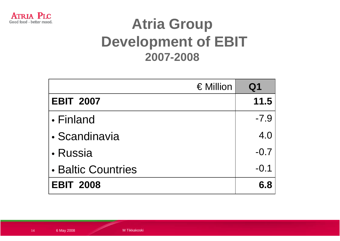

# **Atria Group Development of EBIT 2007-2008**

| $\in$ Million      | Q1     |
|--------------------|--------|
| <b>EBIT 2007</b>   | 11.5   |
| • Finland          | $-7.9$ |
| • Scandinavia      | 4.0    |
| • Russia           | $-0.7$ |
| • Baltic Countries | $-0.1$ |
| <b>EBIT 2008</b>   | 6.8    |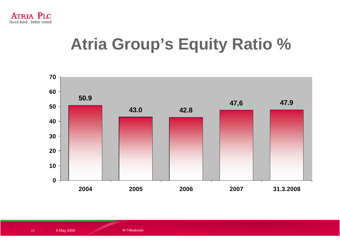

# **Atria Group's Equity Ratio %**

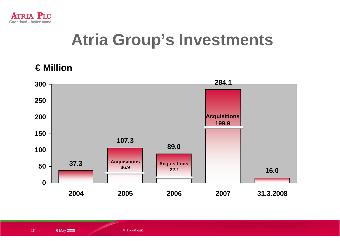

# **Atria Group's Investments**

#### **€ Million**

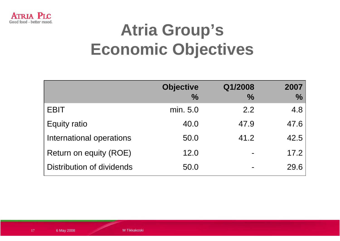

# **Atria Group's Economic Objectives**

|                           | <b>Objective</b> | Q1/2008       | 2007          |
|---------------------------|------------------|---------------|---------------|
|                           | $\frac{0}{0}$    | $\frac{0}{0}$ | $\frac{0}{0}$ |
| <b>EBIT</b>               | min. 5.0         | 2.2           | 4.8           |
| <b>Equity ratio</b>       | 40.0             | 47.9          | 47.6          |
| International operations  | 50.0             | 41.2          | 42.5          |
| Return on equity (ROE)    | 12.0             |               | 17.2          |
| Distribution of dividends | 50.0             |               | 29.6          |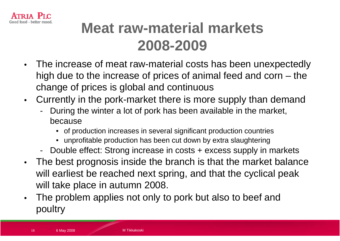

# **Meat raw-material markets 2008-2009**

- The increase of meat raw-material costs has been unexpectedly high due to the increase of prices of animal feed and corn – the change of prices is global and continuous
- Currently in the pork-market there is more supply than demand
	- During the winter a lot of pork has been available in the market, because
		- of production increases in several significant production countries
		- unprofitable production has been cut down by extra slaughtering
	- Double effect: Strong increase in costs + excess supply in markets
- The best prognosis inside the branch is that the market balance will earliest be reached next spring, and that the cyclical peak will take place in autumn 2008.
- The problem applies not only to pork but also to beef and poultry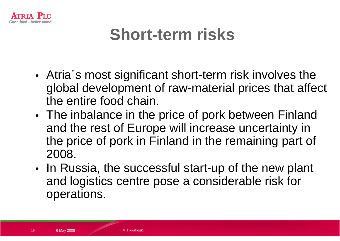

# **Short-term risks**

- Atria´s most significant short-term risk involves the global development of raw-material prices that affect the entire food chain.
- The inbalance in the price of pork between Finland and the rest of Europe will increase uncertainty in the price of pork in Finland in the remaining part of 2008.
- In Russia, the successful start-up of the new plant and logistics centre pose a considerable risk for operations.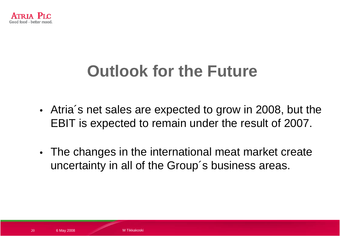

# **Outlook for the Future**

- Atria´s net sales are expected to grow in 2008, but the EBIT is expected to remain under the result of 2007.
- The changes in the international meat market create uncertainty in all of the Group´s business areas.